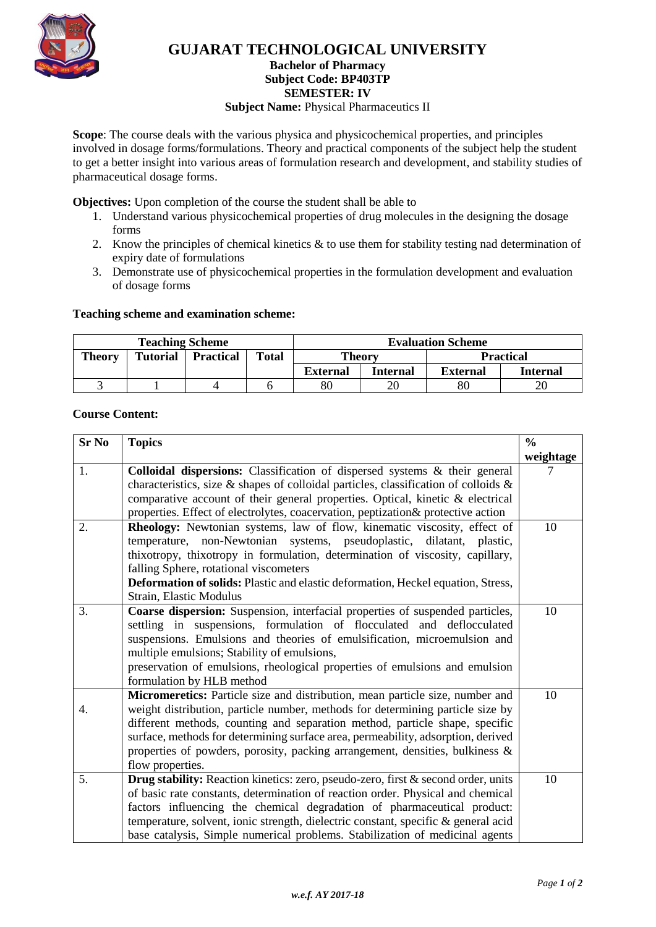

# **GUJARAT TECHNOLOGICAL UNIVERSITY**

#### **Bachelor of Pharmacy Subject Code: [BP403TP](javascript:PopupCenter_upload()**

**SEMESTER: IV**

#### **Subject Name: Physical Pharmaceutics II**

**Scope**: The course deals with the various physica and physicochemical properties, and principles involved in dosage forms/formulations. Theory and practical components of the subject help the student to get a better insight into various areas of formulation research and development, and stability studies of pharmaceutical dosage forms.

**Objectives:** Upon completion of the course the student shall be able to

- 1. Understand various physicochemical properties of drug molecules in the designing the dosage forms
- 2. Know the principles of chemical kinetics  $\&$  to use them for stability testing nad determination of expiry date of formulations
- 3. Demonstrate use of physicochemical properties in the formulation development and evaluation of dosage forms

#### **Teaching scheme and examination scheme:**

| <b>Teaching Scheme</b> |                 |                  |              | <b>Evaluation Scheme</b> |          |                  |                 |
|------------------------|-----------------|------------------|--------------|--------------------------|----------|------------------|-----------------|
| <b>Theory</b>          | <b>Tutorial</b> | <b>Practical</b> | <b>Total</b> | <b>Theory</b>            |          | <b>Practical</b> |                 |
|                        |                 |                  |              | <b>External</b>          | Internal | <b>External</b>  | <b>Internal</b> |
|                        |                 |                  |              | 80                       |          | 80               | 20              |

## **Course Content:**

| <b>Sr No</b> | <b>Topics</b>                                                                                                           |           |  |  |  |
|--------------|-------------------------------------------------------------------------------------------------------------------------|-----------|--|--|--|
|              |                                                                                                                         | weightage |  |  |  |
| 1.           | Colloidal dispersions: Classification of dispersed systems & their general                                              | 7         |  |  |  |
|              | characteristics, size & shapes of colloidal particles, classification of colloids $\&$                                  |           |  |  |  |
|              | comparative account of their general properties. Optical, kinetic $\&$ electrical                                       |           |  |  |  |
|              | properties. Effect of electrolytes, coacervation, peptization& protective action                                        |           |  |  |  |
| 2.           | Rheology: Newtonian systems, law of flow, kinematic viscosity, effect of                                                | 10        |  |  |  |
|              | temperature, non-Newtonian systems, pseudoplastic, dilatant, plastic,                                                   |           |  |  |  |
|              | thixotropy, thixotropy in formulation, determination of viscosity, capillary,<br>falling Sphere, rotational viscometers |           |  |  |  |
|              |                                                                                                                         |           |  |  |  |
|              | Deformation of solids: Plastic and elastic deformation, Heckel equation, Stress,                                        |           |  |  |  |
|              | Strain, Elastic Modulus                                                                                                 |           |  |  |  |
| 3.           | Coarse dispersion: Suspension, interfacial properties of suspended particles,                                           | 10        |  |  |  |
|              | settling in suspensions, formulation of flocculated and deflocculated                                                   |           |  |  |  |
|              | suspensions. Emulsions and theories of emulsification, microemulsion and                                                |           |  |  |  |
|              | multiple emulsions; Stability of emulsions,                                                                             |           |  |  |  |
|              | preservation of emulsions, rheological properties of emulsions and emulsion                                             |           |  |  |  |
|              | formulation by HLB method                                                                                               |           |  |  |  |
|              | Micromeretics: Particle size and distribution, mean particle size, number and                                           | 10        |  |  |  |
| 4.           | weight distribution, particle number, methods for determining particle size by                                          |           |  |  |  |
|              | different methods, counting and separation method, particle shape, specific                                             |           |  |  |  |
|              | surface, methods for determining surface area, permeability, adsorption, derived                                        |           |  |  |  |
|              | properties of powders, porosity, packing arrangement, densities, bulkiness &                                            |           |  |  |  |
|              | flow properties.                                                                                                        |           |  |  |  |
| 5.           | Drug stability: Reaction kinetics: zero, pseudo-zero, first & second order, units                                       | 10        |  |  |  |
|              | of basic rate constants, determination of reaction order. Physical and chemical                                         |           |  |  |  |
|              | factors influencing the chemical degradation of pharmaceutical product:                                                 |           |  |  |  |
|              | temperature, solvent, ionic strength, dielectric constant, specific & general acid                                      |           |  |  |  |
|              | base catalysis, Simple numerical problems. Stabilization of medicinal agents                                            |           |  |  |  |